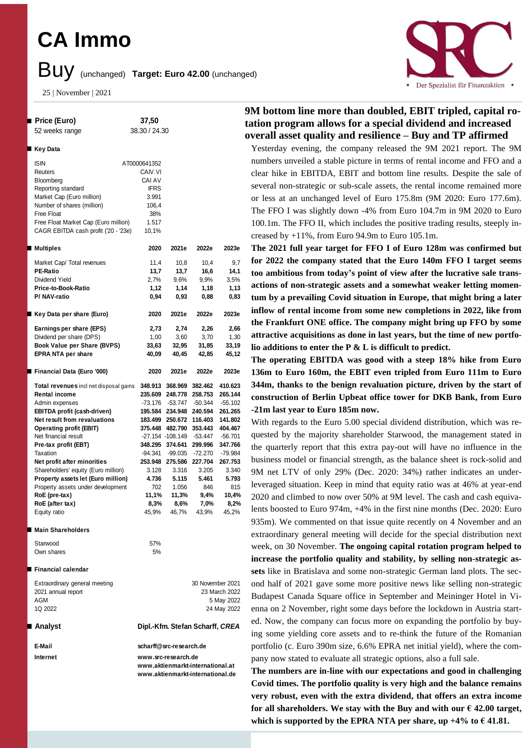## **CA Immo**

### Buy (unchanged) **Target: Euro 42.00** (unchanged)

25 | November | 2021



# Der Spezialist für Finanzaktien

#### **9M bottom line more than doubled, EBIT tripled, capital rotation program allows for a special dividend and increased overall asset quality and resilience – Buy and TP affirmed**

Yesterday evening, the company released the 9M 2021 report. The 9M numbers unveiled a stable picture in terms of rental income and FFO and a clear hike in EBITDA, EBIT and bottom line results. Despite the sale of several non-strategic or sub-scale assets, the rental income remained more or less at an unchanged level of Euro 175.8m (9M 2020: Euro 177.6m). The FFO I was slightly down -4% from Euro 104.7m in 9M 2020 to Euro 100.1m. The FFO II, which includes the positive trading results, steeply increased by +11%, from Euro 94.9m to Euro 105.1m.

**The 2021 full year target for FFO I of Euro 128m was confirmed but for 2022 the company stated that the Euro 140m FFO I target seems too ambitious from today's point of view after the lucrative sale transactions of non-strategic assets and a somewhat weaker letting momentum by a prevailing Covid situation in Europe, that might bring a later inflow of rental income from some new completions in 2022, like from the Frankfurt ONE office. The company might bring up FFO by some attractive acquisitions as done in last years, but the time of new portfolio additions to enter the P & L is difficult to predict.** 

**The operating EBITDA was good with a steep 18% hike from Euro 136m to Euro 160m, the EBIT even tripled from Euro 111m to Euro 344m, thanks to the benign revaluation picture, driven by the start of construction of Berlin Upbeat office tower for DKB Bank, from Euro -21m last year to Euro 185m now.** 

With regards to the Euro 5.00 special dividend distribution, which was requested by the majority shareholder Starwood, the management stated in the quarterly report that this extra pay-out will have no influence in the business model or financial strength, as the balance sheet is rock-solid and 9M net LTV of only 29% (Dec. 2020: 34%) rather indicates an underleveraged situation. Keep in mind that equity ratio was at 46% at year-end 2020 and climbed to now over 50% at 9M level. The cash and cash equivalents boosted to Euro 974m, +4% in the first nine months (Dec. 2020: Euro 935m). We commented on that issue quite recently on 4 November and an extraordinary general meeting will decide for the special distribution next week, on 30 November. **The ongoing capital rotation program helped to increase the portfolio quality and stability, by selling non-strategic assets** like in Bratislava and some non-strategic German land plots. The second half of 2021 gave some more positive news like selling non-strategic Budapest Canada Square office in September and Meininger Hotel in Vienna on 2 November, right some days before the lockdown in Austria started. Now, the company can focus more on expanding the portfolio by buying some yielding core assets and to re-think the future of the Romanian portfolio (c. Euro 390m size, 6.6% EPRA net initial yield), where the company now stated to evaluate all strategic options, also a full sale.

**The numbers are in-line with our expectations and good in challenging Covid times. The portfolio quality is very high and the balance remains very robust, even with the extra dividend, that offers an extra income**  for all shareholders. We stay with the Buy and with our  $\epsilon$  42.00 target, which is supported by the EPRA NTA per share, up  $+4\%$  to  $\in$  41.81.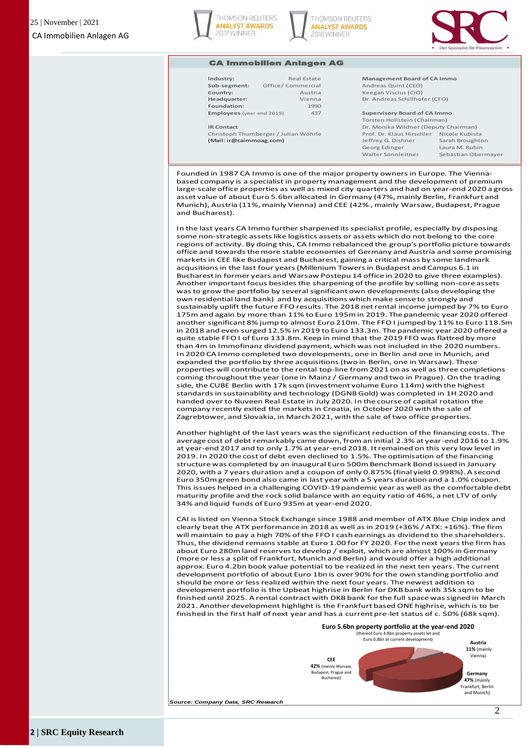





#### CA Immobilien Anlagen AG

| ndustry:                         | Re:        |  |  |  |  |
|----------------------------------|------------|--|--|--|--|
| Sub-segment:                     | Office/Com |  |  |  |  |
| Country:                         |            |  |  |  |  |
| leadquarter:                     |            |  |  |  |  |
| Foundation:                      |            |  |  |  |  |
| <b>Employees</b> (year-end 2019) |            |  |  |  |  |
|                                  |            |  |  |  |  |

**Foundation:** 1990

#### **Industry:** Real Estate **Management Board of CA Immo Sub-segment:** Office/ Commercial Andreas Quint (CEO) **Country:** Austria Keegan Viscius (CIO) **Headquarter:** Vienna Dr. Andreas Schillhofer (CFO)

**Employees** (year-end 2019)**:** 437 **Supervisory Board of CA Immo**

Torsten Hollstein (Chairman) **IR Contact IR Contact** Dr. Monika Wildner (Deputy Chairman) Christoph Thurnberger / Julian Wöhrle Prof. Dr. Klaus Hirschler Nicole Kubista (Mail: ir@caimmoag.com) Jeffrey G. Dishner Sarah Broughton Georg Edinger Laura M. Rubin Walter Sonnleitner Sebastian Obermayer

Founded in 1987 CA Immo is one of the major property ownersin Europe. The Viennabased company is a specialist in property management and the development of premium large-scale office properties as well as mixed city quarters and had on year-end 2020 a gross asset value of about Euro 5.6bn allocated in Germany (47%, mainly Berlin, Frankfurt and Munich), Austria (11%, mainly Vienna) and CEE (42% , mainly Warsaw, Budapest, Prague and Bucharest).

In the last years CA Immo further sharpened its specialist profile, especially by disposing some non-strategic assets like logistics assets or assets which do not belong to the core regions of activity. By doing this, CA Immo rebalanced the group's portfolio picture towards office and towards the more stable economies of Germany and Austria and some promising markets in CEE like Budapest and Bucharest, gaining a critical mass by some landmark acqusitions in the last four years (Millenium Towers in Budapest and Campus 6.1 in Bucharest in former years and Warsaw Postepu 14 office in 2020 to give three examples). Another important focus besides the sharpening of the profile by selling non-core assets was to grow the portfolio by several significant own developments (also developing the own residential land bank) and by acquisitions which make sense to strongly and sustainably uplift the future FFO results. The 2018 net rental income jumped by 7% to Euro 175m and again by more than 11% to Euro 195m in 2019. The pandemic year 2020 offered another significant 8% jump to almost Euro 210m. The FFO I jumped by 11% to Euro 118.5m in 2018 and even surged 12.5% in 2019 to Euro 133.3m. The pandemic year 2020 offered a quite stable FFO I of Euro 133.8m. Keep in mind that the 2019 FFO was flattred by more than 4m in Immofinanz dividend payment, which was not included in the 2020 numbers. In 2020 CA Immo completed two developments, one in Berlin and one in Munich, and expanded the portfolio by three acquisitions (two in Berlin, one in Warsaw). These properties will contribute to the rental top-line from 2021 on as well as three completions coming throughout the year (one in Mainz / Germany and two in Prague). On the trading side, the CUBE Berlin with 17k sqm (investment volume Euro 114m) with the highest standards in sustainability and technology (DGNB Gold) was completed in 1H 2020 and handed over to Nuveen Real Estate in July 2020. In the course of capital rotation the company recently exited the markets in Croatia, in October 2020 with the sale of Zagrebtower, and Slovakia, in March 2021, with the sale of two office properties.

Another highlight of the last years was the significant reduction of the financing costs. The average cost of debt remarkably came down, from an initial 2.3% at year-end 2016 to 1.9% at year-end 2017 and to only 1.7% at year-end 2018. It remained on this very low level in 2019. In 2020 the cost of debt even declined to 1.5%. The optimisation of the financing structure was completed by an inaugural Euro 500m Benchmark Bond issued in January 2020, with a 7 years duration and a coupon of only 0.875% (final yield 0.998%). A second Euro 350m green bond also came in last year with a 5 years duration and a 1.0% coupon. This issues helped in a challenging COVID-19 pandemic year as well as the comfortable debt maturity profile and the rock solid balance with an equity ratio of 46%, a net LTV of only 34% and liquid funds of Euro 935m at year-end 2020.

CAI is listed on Vienna Stock Exchange since 1988 and member of ATX Blue Chip index and clearly beat the ATX performance in 2018 as well as in 2019 (+36% / ATX: +16%). The firm will maintain to pay a high 70% of the FFO I cash earnings as dividend to the shareholders. Thus, the dividend remains stable at Euro 1.00 for FY 2020. For the next years the firm has about Euro 280m land reserves to develop / exploit, which are almost 100% in Germany (more or less a split of Frankfurt, Munich and Berlin) and would offer a high additional approx. Euro 4.2bn book value potential to be realized in the next ten years. The current development portfolio of about Euro 1bn is over 90% for the own standing portfolio and should be more or less realized within the next four years. The newest addition to development portfolio is the Upbeat highrise in Berlin for DKB bank with 35k sqm to be finished until 2025. A rental contract with DKB bank for the full space was signed in March 2021. Another development highlight is the Frankfurt based ONE highrise, which is to be finished in the first half of next year and has a current pre-let status of c. 50% (68k sqm).

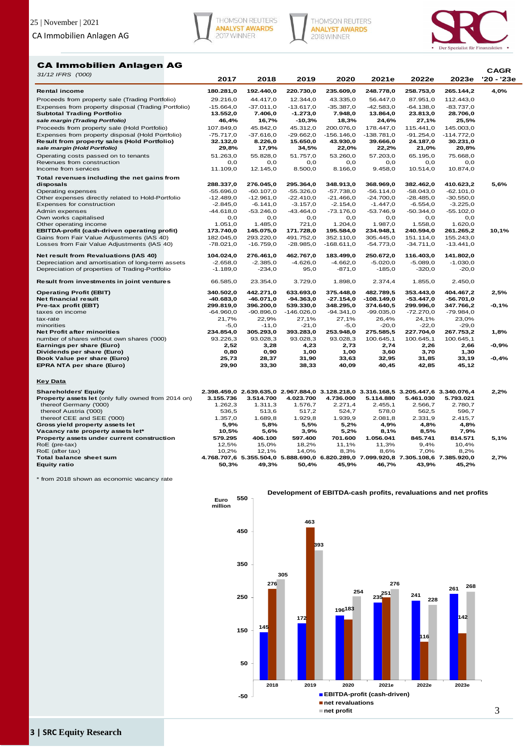





#### CA Immobilien Anlagen AG

| 31/12 IFRS ('000)                                       |              |              |              |                                                                                     |              |              |              | CAGR       |
|---------------------------------------------------------|--------------|--------------|--------------|-------------------------------------------------------------------------------------|--------------|--------------|--------------|------------|
|                                                         | 2017         | 2018         | 2019         | 2020                                                                                | 2021e        | 2022e        | 2023e        | '20 - '23e |
| <b>Rental income</b>                                    | 180.281,0    | 192.440,0    | 220.730,0    | 235.609,0                                                                           | 248.778,0    | 258.753,0    | 265.144,2    | 4,0%       |
| Proceeds from property sale (Trading Portfolio)         | 29.216,0     | 44.417,0     | 12.344,0     | 43.335,0                                                                            | 56.447,0     | 87.951,0     | 112.443,0    |            |
| Expenses from property disposal (Trading Portfolio)     | $-15.664.0$  | $-37.011,0$  | $-13.617,0$  | $-35.387,0$                                                                         | $-42.583.0$  | $-64.138.0$  | $-83.737,0$  |            |
| <b>Subtotal Trading Portfolio</b>                       | 13.552,0     | 7.406,0      | $-1.273,0$   | 7.948,0                                                                             | 13.864,0     | 23.813,0     | 28.706,0     |            |
| sale margin (Trading Portfolio)                         | 46,4%        | 16,7%        | $-10,3%$     | 18,3%                                                                               | 24,6%        | 27,1%        | 25,5%        |            |
| Proceeds from property sale (Hold Portfolio)            | 107.849,0    | 45.842,0     | 45.312,0     | 200.076,0                                                                           | 178.447,0    | 115.441,0    | 145.003,0    |            |
| Expenses from property disposal (Hold Portfolio)        | $-75.717,0$  | $-37.616,0$  | $-29.662,0$  | $-156.146,0$                                                                        | $-138.781,0$ | $-91.254,0$  | $-114.772,0$ |            |
| Result from property sales (Hold Portfolio)             | 32.132,0     | 8.226,0      | 15.650,0     | 43.930,0                                                                            | 39.666,0     | 24.187,0     | 30.231,0     |            |
| sale margin (Hold Portfolio)                            | 29,8%        | 17,9%        | 34,5%        | 22,0%                                                                               | 22,2%        | 21,0%        | 20,8%        |            |
| Operating costs passed on to tenants                    | 51.263.0     | 55.828.0     | 51.757.0     | 53.260.0                                                                            | 57.203.0     | 65.195.0     | 75.668.0     |            |
| Revenues from construction                              | 0,0          | O, O         | 0,0          | 0,0                                                                                 | 0,0          | 0,0          | 0,0          |            |
| Income from services                                    | 11.109,0     | 12.145,0     | 8.500,0      | 8.166,0                                                                             | 9.458,0      | 10.514,0     | 10.874,0     |            |
| Total revenues including the net gains from             |              |              |              |                                                                                     |              |              |              |            |
| disposals                                               | 288.337,0    | 276.045,0    | 295.364,0    | 348.913,0                                                                           | 368.969,0    | 382.462,0    | 410.623,2    | 5,6%       |
| Operating expenses                                      | $-55.696,0$  | $-60.107,0$  | $-55.326,0$  | $-57.738,0$                                                                         | $-56.114,0$  | $-58.043,0$  | $-62.101,0$  |            |
| Other expenses directly related to Hold-Portfolio       | $-12.489,0$  | $-12.961,0$  | $-22.410,0$  | $-21.466,0$                                                                         | $-24.700,0$  | $-28.485,0$  | $-30.550,0$  |            |
| Expenses for construction                               | $-2.845,0$   | $-6.141,0$   | $-3.157,0$   | $-2.154,0$                                                                          | $-1.447,0$   | $-6.554,0$   | $-3.225,0$   |            |
| Admin expenses                                          | $-44.618,0$  | $-53.246,0$  | $-43.464,0$  | $-73.176,0$                                                                         | $-53.746.9$  | $-50.344,0$  | $-55.102,0$  |            |
| Own works capitalised                                   | O, O         | O, O         | 0,0          | 0,0                                                                                 | O, O         | 0,0          | 0,0          |            |
| Other operating income                                  | 1.051,0      | 1.485,0      | 721,0        | 1.204,0                                                                             | 1.987,0      | 1.558,0      | 1.620,0      |            |
| EBITDA-profit (cash-driven operating profit)            | 173.740,0    | 145.075,0    | 171.728,0    | 195.584,0                                                                           | 234.948,1    | 240.594,0    | 261.265,2    | 10,1%      |
| Gains from Fair Value Adjustments (IAS 40)              | 182.045,0    | 293.220,0    | 491.752.0    | 352.110,0                                                                           | 305.445,0    | 151.114,0    | 155.243,0    |            |
| Losses from Fair Value Adjustments (IAS 40)             | $-78.021,0$  | $-16.759,0$  | $-28.985,0$  | $-168.611,0$                                                                        | $-54.773,0$  | $-34.711,0$  | $-13.441,0$  |            |
| Net result from Revaluations (IAS 40)                   | 104.024,0    | 276.461,0    | 462.767,0    | 183.499,0                                                                           | 250.672,0    | 116.403,0    | 141.802,0    |            |
| Depreciation and amortisation of long-term assets       | $-2.658,0$   | $-2.385,0$   | $-4.626,0$   | $-4.662,0$                                                                          | $-5.020,0$   | $-5.089,0$   | $-1.030,0$   |            |
| Depreciation of properties of Trading-Portfolio         | $-1.189,0$   | $-234,0$     | 95,0         | $-871,0$                                                                            | $-185,0$     | $-320,0$     | $-20,0$      |            |
| Result from investments in joint ventures               | 66.585,0     | 23.354,0     | 3.729,0      | 1.898,0                                                                             | 2.374,4      | 1.855,0      | 2.450,0      |            |
| <b>Operating Profit (EBIT)</b>                          | 340.502,0    | 442.271,0    | 633.693,0    | 375.448,0                                                                           | 482.789,5    | 353.443,0    | 404.467,2    | 2,5%       |
| Net financial result                                    | $-40.683,0$  | $-46.071,0$  | $-94.363,0$  | $-27.154,0$                                                                         | $-108.149,0$ | $-53.447,0$  | $-56.701,0$  |            |
| Pre-tax profit (EBT)                                    | 299.819,0    | 396.200,0    | 539.330,0    | 348.295,0                                                                           | 374.640,5    | 299.996,0    | 347.766,2    | -0,1%      |
| taxes on income                                         | $-64.960,0$  | $-90.896,0$  | $-146.026,0$ | $-94.341,0$                                                                         | $-99.035,0$  | $-72.270,0$  | $-79.984,0$  |            |
| tax-rate                                                | 21,7%        | 22,9%        | 27,1%        | 27,1%                                                                               | 26,4%        | 24,1%        | 23,0%        |            |
| minorities                                              | $-5,0$       | $-11,0$      | $-21,0$      | $-5,0$                                                                              | $-20,0$      | $-22,0$      | $-29,0$      |            |
| <b>Net Profit after minorities</b>                      | 234.854,0    | 305.293,0    | 393.283,0    | 253.948,0                                                                           | 275.585,5    | 227.704,0    | 267.753,2    | 1,8%       |
| number of shares without own shares ('000)              | 93.226,3     | 93.028,3     | 93.028,3     | 93.028,3                                                                            | 100.645,1    | 100.645,1    | 100.645,1    |            |
| Earnings per share (Euro)<br>Dividends per share (Euro) | 2,52<br>0,80 | 3,28<br>0,90 | 4,23<br>1,00 | 2,73<br>1,00                                                                        | 2,74<br>3,60 | 2,26<br>3,70 | 2,66<br>1,30 | $-0,9%$    |
| Book Value per share (Euro)                             | 25,73        | 28,37        | 31,90        | 33,63                                                                               | 32,95        | 31,85        | 33,19        | $-0,4%$    |
| <b>EPRA NTA per share (Euro)</b>                        | 29,90        | 33,30        | 38,33        | 40,09                                                                               | 40,45        | 42,85        | 45,12        |            |
| <b>Key Data</b>                                         |              |              |              |                                                                                     |              |              |              |            |
| <b>Shareholders' Equity</b>                             |              |              |              | 2.398.459,0 2.639.635,0 2.967.884,0 3.128.218,0 3.316.168,5 3.205.447,6 3.340.076,4 |              |              |              | 2,2%       |
| Property assets let (only fully owned from 2014 on)     | 3.155.736    | 3.514.700    | 4.023.700    | 4.736.000                                                                           | 5.114.880    | 5.461.030    | 5.793.021    |            |
| thereof Germany ('000)                                  | 1.262,3      | 1.311,3      | 1.576,7      | 2.271,4                                                                             | 2.455,1      | 2.566,7      | 2.780,7      |            |
| thereof Austria ('000)                                  | 536,5        | 513,6        | 517,2        | 524,7                                                                               | 578,0        | 562,5        | 596,7        |            |
| thereof CEE and SEE ('000)                              | 1.357,0      | 1.689,8      | 1.929,8      | 1.939,9                                                                             | 2.081,8      | 2.331,9      | 2.415,7      |            |
| Gross yield property assets let                         | 5,9%         | 5,8%         | 5,5%         | 5,2%                                                                                | 4,9%         | 4,8%         | 4,8%         |            |
| Vacancy rate property assets let*                       | 10,5%        | 5,6%         | 3,9%         | 5,2%                                                                                | 8,1%         | 8,5%         | 7,9%         |            |
| Property assets under current construction              | 579.295      | 406.100      | 597.400      | 701.600                                                                             | 1.056.041    | 845.741      | 814.571      | 5,1%       |
| RoE (pre-tax)                                           | 12,5%        | 15,0%        | 18,2%        | 11,1%                                                                               | 11,3%        | 9,4%         | 10,4%        |            |
| RoE (after tax)                                         | 10,2%        | 12,1%        | 14,0%        | 8,3%                                                                                | 8,6%         | 7,0%         | 8,2%         |            |
| Total balance sheet sum                                 |              |              |              | 4.768.707,6 5.355.504,0 5.888.690,0 6.820.289,0 7.099.920,8 7.305.108,6 7.385.920,0 |              |              |              | 2,7%       |
| <b>Equity ratio</b>                                     | 50,3%        | 49,3%        | 50,4%        | 45,9%                                                                               | 46,7%        | 43,9%        | 45,2%        |            |

\* from 2018 shown as economic vacancy rate